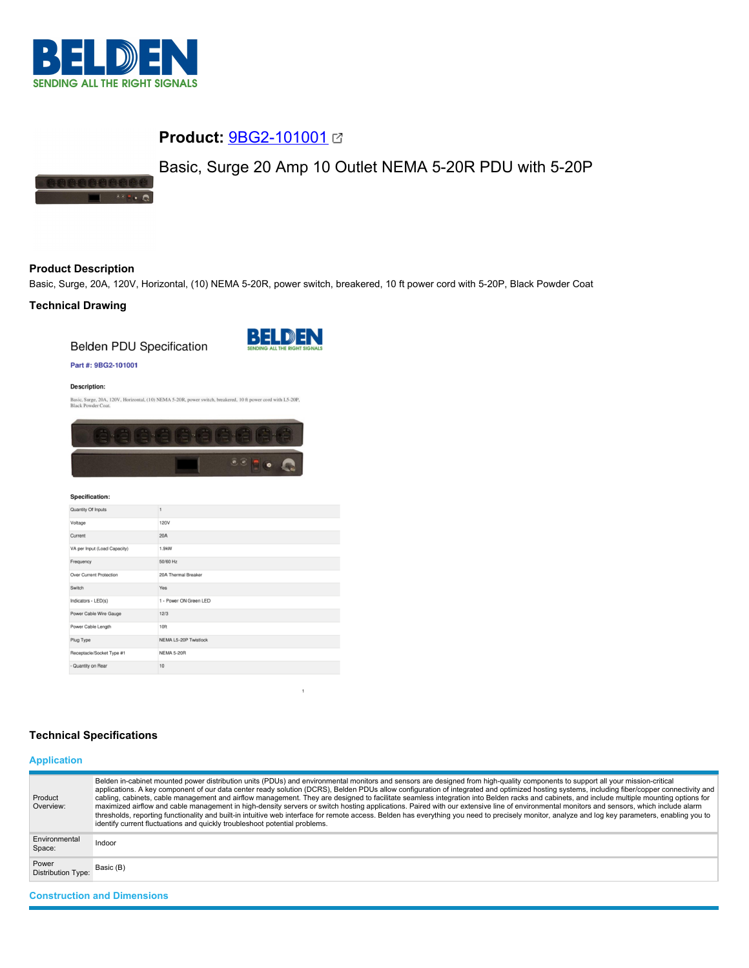

# **Product:** [9BG2-101001](https://catalog.belden.com/index.cfm?event=pd&p=PF_9BG2101001&tab=downloads)

# Basic, Surge 20 Amp 10 Outlet NEMA 5-20R PDU with 5-20P



# **Product Description**

Basic, Surge, 20A, 120V, Horizontal, (10) NEMA 5-20R, power switch, breakered, 10 ft power cord with 5-20P, Black Powder Coat

# **Technical Drawing**

**Belden PDU Specification** 



## Part #: 9BG2-101001

#### **Description:**

Basic, Surge, 20A, 120V, Horizontal, (10) NEMA 5-20R, power switch, breakered, 10 ft power cord with L5-20P, Black Powder Coat.



#### **Specification:**

| Quantity Of Inputs           | 1                      |
|------------------------------|------------------------|
| Voltage                      | <b>120V</b>            |
| Current                      | 20A                    |
| VA per Input (Load Capacity) | 1.9kW                  |
| Frequency                    | 50/60 Hz               |
| Over Current Protection      | 20A Thermal Breaker    |
| Switch                       | Yes                    |
| Indicators - LED(s)          | 1 - Power ON Green LED |
| Power Cable Wire Gauge       | 12/3                   |
| Power Cable Length           | 10 <sub>ft</sub>       |
| Plug Type                    | NEMA L5-20P Twistlock  |
| Receptacle/Socket Type #1    | <b>NEMA 5-20R</b>      |
| - Quantity on Rear           | 10                     |

# **Technical Specifications**

# **Application**

| Product<br>Overview:               | Belden in-cabinet mounted power distribution units (PDUs) and environmental monitors and sensors are designed from high-quality components to support all your mission-critical<br>applications. A key component of our data center ready solution (DCRS), Belden PDUs allow configuration of integrated and optimized hosting systems, including fiber/copper connectivity and<br>cabling, cabinets, cable management and airflow management. They are designed to facilitate seamless integration into Belden racks and cabinets, and include multiple mounting options for<br>maximized airflow and cable management in high-density servers or switch hosting applications. Paired with our extensive line of environmental monitors and sensors, which include alarm<br>thresholds, reporting functionality and built-in intuitive web interface for remote access. Belden has everything you need to precisely monitor, analyze and log key parameters, enabling you to<br>identify current fluctuations and quickly troubleshoot potential problems. |
|------------------------------------|-------------------------------------------------------------------------------------------------------------------------------------------------------------------------------------------------------------------------------------------------------------------------------------------------------------------------------------------------------------------------------------------------------------------------------------------------------------------------------------------------------------------------------------------------------------------------------------------------------------------------------------------------------------------------------------------------------------------------------------------------------------------------------------------------------------------------------------------------------------------------------------------------------------------------------------------------------------------------------------------------------------------------------------------------------------|
| Environmental<br>Space:            | Indoor                                                                                                                                                                                                                                                                                                                                                                                                                                                                                                                                                                                                                                                                                                                                                                                                                                                                                                                                                                                                                                                      |
| Power<br><b>Distribution Type:</b> | Basic (B)                                                                                                                                                                                                                                                                                                                                                                                                                                                                                                                                                                                                                                                                                                                                                                                                                                                                                                                                                                                                                                                   |
| <b>Construction and Dimensions</b> |                                                                                                                                                                                                                                                                                                                                                                                                                                                                                                                                                                                                                                                                                                                                                                                                                                                                                                                                                                                                                                                             |